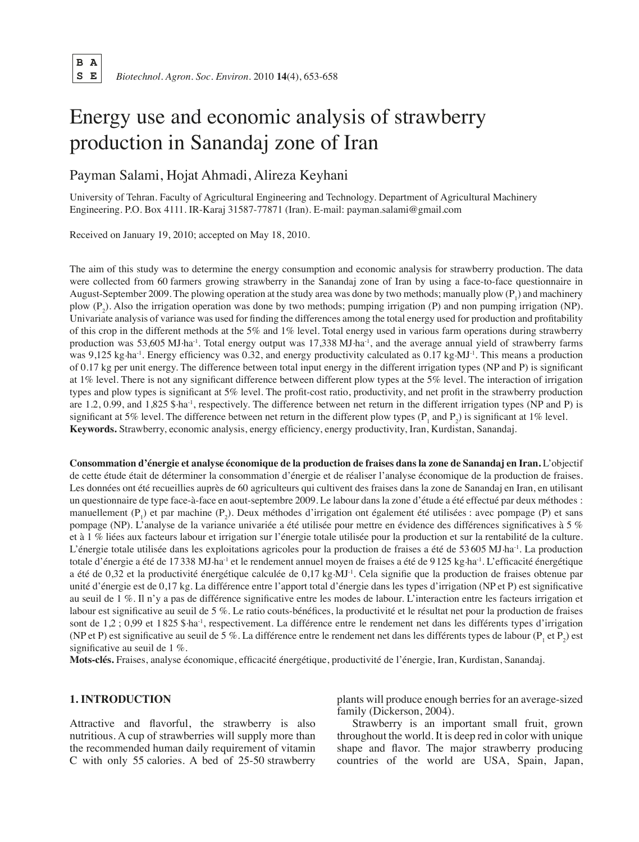B A<br>S E  **S E** *Biotechnol. Agron. Soc. Environ.* 2010 **14**(4), 653-658

# Energy use and economic analysis of strawberry production in Sanandaj zone of Iran

# Payman Salami, Hojat Ahmadi, Alireza Keyhani

University of Tehran. Faculty of Agricultural Engineering and Technology. Department of Agricultural Machinery Engineering. P.O. Box 4111. IR-Karaj 31587-77871 (Iran). E-mail: payman.salami@gmail.com

Received on January 19, 2010; accepted on May 18, 2010.

The aim of this study was to determine the energy consumption and economic analysis for strawberry production. The data were collected from 60 farmers growing strawberry in the Sanandaj zone of Iran by using a face-to-face questionnaire in August-September 2009. The plowing operation at the study area was done by two methods; manually plow  $(P_1)$  and machinery plow  $(P_2)$ . Also the irrigation operation was done by two methods; pumping irrigation  $(P)$  and non pumping irrigation  $(NP)$ . Univariate analysis of variance was used for finding the differences among the total energy used for production and profitability of this crop in the different methods at the 5% and 1% level. Total energy used in various farm operations during strawberry production was 53,605 MJ·ha<sup>-1</sup>. Total energy output was 17,338 MJ·ha<sup>-1</sup>, and the average annual yield of strawberry farms was 9,125 kg $\cdot$ ha<sup>-1</sup>. Energy efficiency was 0.32, and energy productivity calculated as 0.17 kg $\cdot$ MJ<sup>-1</sup>. This means a production of 0.17 kg per unit energy. The difference between total input energy in the different irrigation types (NP and P) is significant at 1% level. There is not any significant difference between different plow types at the 5% level. The interaction of irrigation types and plow types is significant at 5% level. The profit-cost ratio, productivity, and net profit in the strawberry production are 1.2, 0.99, and 1,825 \$ ha<sup>-1</sup>, respectively. The difference between net return in the different irrigation types (NP and P) is significant at 5% level. The difference between net return in the different plow types ( $P_1$  and  $P_2$ ) is significant at 1% level. **Keywords.** Strawberry, economic analysis, energy efficiency, energy productivity, Iran, Kurdistan, Sanandaj.

**Consommation d'énergie et analyse économique de la production de fraises dans la zone de Sanandaj en Iran.** L'objectif de cette étude était de déterminer la consommation d'énergie et de réaliser l'analyse économique de la production de fraises. Les données ont été recueillies auprès de 60 agriculteurs qui cultivent des fraises dans la zone de Sanandaj en Iran, en utilisant un questionnaire de type face-à-face en aout-septembre 2009. Le labour dans la zone d'étude a été effectué par deux méthodes : manuellement  $(P_1)$  et par machine  $(P_2)$ . Deux méthodes d'irrigation ont également été utilisées : avec pompage (P) et sans pompage (NP). L'analyse de la variance univariée a été utilisée pour mettre en évidence des différences significatives à 5 % et à 1 % liées aux facteurs labour et irrigation sur l'énergie totale utilisée pour la production et sur la rentabilité de la culture. L'énergie totale utilisée dans les exploitations agricoles pour la production de fraises a été de 53 605 MJ.ha-1. La production totale d'énergie a été de 17338 MJ·ha<sup>-1</sup> et le rendement annuel moyen de fraises a été de 9125 kg·ha<sup>-1</sup>. L'efficacité énergétique a été de 0,32 et la productivité énergétique calculée de 0,17 kg.MJ-1. Cela signifie que la production de fraises obtenue par unité d'énergie est de 0,17 kg. La différence entre l'apport total d'énergie dans les types d'irrigation (NP et P) est significative au seuil de 1 %. Il n'y a pas de différence significative entre les modes de labour. L'interaction entre les facteurs irrigation et labour est significative au seuil de 5 %. Le ratio couts-bénéfices, la productivité et le résultat net pour la production de fraises sont de 1,2 ; 0,99 et 1825 \$ ha<sup>-1</sup>, respectivement. La différence entre le rendement net dans les différents types d'irrigation (NP et P) est significative au seuil de 5 %. La différence entre le rendement net dans les différents types de labour (P<sub>1</sub> et P<sub>2</sub>) est significative au seuil de 1 %.

**Mots-clés.** Fraises, analyse économique, efficacité énergétique, productivité de l'énergie, Iran, Kurdistan, Sanandaj.

# **1. Introduction**

Attractive and flavorful, the strawberry is also nutritious. A cup of strawberries will supply more than the recommended human daily requirement of vitamin C with only 55 calories. A bed of 25-50 strawberry plants will produce enough berries for an average-sized family (Dickerson, 2004).

Strawberry is an important small fruit, grown throughout the world. It is deep red in color with unique shape and flavor. The major strawberry producing countries of the world are USA, Spain, Japan,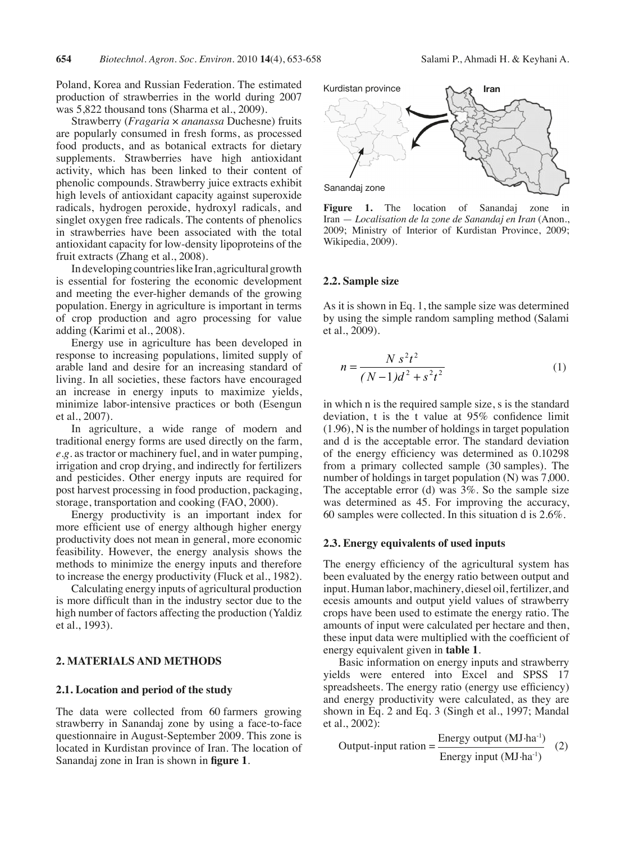Poland, Korea and Russian Federation. The estimated production of strawberries in the world during 2007 was 5,822 thousand tons (Sharma et al., 2009).

Strawberry (*Fragaria* × *ananassa* Duchesne) fruits are popularly consumed in fresh forms, as processed food products, and as botanical extracts for dietary supplements. Strawberries have high antioxidant activity, which has been linked to their content of phenolic compounds. Strawberry juice extracts exhibit high levels of antioxidant capacity against superoxide radicals, hydrogen peroxide, hydroxyl radicals, and singlet oxygen free radicals. The contents of phenolics in strawberries have been associated with the total antioxidant capacity for low-density lipoproteins of the fruit extracts (Zhang et al., 2008).

In developing countries like Iran, agricultural growth is essential for fostering the economic development and meeting the ever-higher demands of the growing population. Energy in agriculture is important in terms of crop production and agro processing for value adding (Karimi et al., 2008).

Energy use in agriculture has been developed in response to increasing populations, limited supply of arable land and desire for an increasing standard of living. In all societies, these factors have encouraged an increase in energy inputs to maximize yields, minimize labor-intensive practices or both (Esengun et al., 2007).

In agriculture, a wide range of modern and traditional energy forms are used directly on the farm, *e.g.* as tractor or machinery fuel, and in water pumping, irrigation and crop drying, and indirectly for fertilizers and pesticides. Other energy inputs are required for post harvest processing in food production, packaging, storage, transportation and cooking (FAO, 2000).

Energy productivity is an important index for more efficient use of energy although higher energy productivity does not mean in general, more economic feasibility. However, the energy analysis shows the methods to minimize the energy inputs and therefore to increase the energy productivity (Fluck et al., 1982).

Calculating energy inputs of agricultural production is more difficult than in the industry sector due to the high number of factors affecting the production (Yaldiz et al., 1993).

## **2. Materials and methods**

#### **2.1. Location and period of the study**

The data were collected from 60 farmers growing strawberry in Sanandaj zone by using a face-to-face questionnaire in August-September 2009. This zone is located in Kurdistan province of Iran. The location of Sanandaj zone in Iran is shown in **figure 1**.



**Figure 1.** The location of Sanandaj zone in Iran — *Localisation de la zone de Sanandaj en Iran* (Anon., 2009; Ministry of Interior of Kurdistan Province, 2009; Wikipedia, 2009).

#### **2.2. Sample size**

As it is shown in Eq. 1, the sample size was determined by using the simple random sampling method (Salami et al., 2009).

$$
n = \frac{N s^2 t^2}{(N-1)d^2 + s^2 t^2}
$$
 (1)

in which n is the required sample size, s is the standard deviation, t is the t value at 95% confidence limit (1.96), N is the number of holdings in target population and d is the acceptable error. The standard deviation of the energy efficiency was determined as 0.10298 from a primary collected sample (30 samples). The number of holdings in target population (N) was 7,000. The acceptable error (d) was  $3\%$ . So the sample size was determined as 45. For improving the accuracy, 60 samples were collected. In this situation d is 2.6%.

#### **2.3. Energy equivalents of used inputs**

The energy efficiency of the agricultural system has been evaluated by the energy ratio between output and input. Human labor, machinery, diesel oil, fertilizer, and ecesis amounts and output yield values of strawberry crops have been used to estimate the energy ratio. The amounts of input were calculated per hectare and then, these input data were multiplied with the coefficient of energy equivalent given in **table 1**.

Basic information on energy inputs and strawberry yields were entered into Excel and SPSS 17 spreadsheets. The energy ratio (energy use efficiency) and energy productivity were calculated, as they are shown in Eq. 2 and Eq. 3 (Singh et al., 1997; Mandal et al., 2002):

Output-input ration = 
$$
\frac{\text{Energy output (MJ·ha-1)}}{\text{Energy input (MJ·ha-1)}} \quad (2)
$$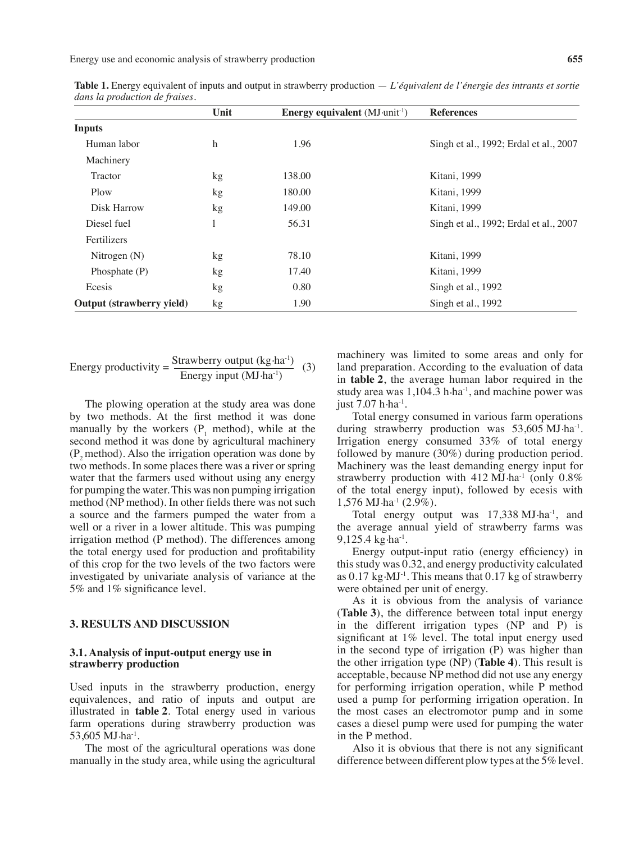Energy use and economic analysis of strawberry production **655**

|                           | Unit         | <b>Energy equivalent</b> $(MJ\cdot unit^{-1})$ | <b>References</b>                      |
|---------------------------|--------------|------------------------------------------------|----------------------------------------|
| <b>Inputs</b>             |              |                                                |                                        |
| Human labor               | h            | 1.96                                           | Singh et al., 1992; Erdal et al., 2007 |
| Machinery                 |              |                                                |                                        |
| <b>Tractor</b>            | kg           | 138.00                                         | Kitani, 1999                           |
| Plow                      | kg           | 180.00                                         | Kitani, 1999                           |
| Disk Harrow               | kg           | 149.00                                         | Kitani, 1999                           |
| Diesel fuel               | $\mathbf{I}$ | 56.31                                          | Singh et al., 1992; Erdal et al., 2007 |
| Fertilizers               |              |                                                |                                        |
| Nitrogen $(N)$            | kg           | 78.10                                          | Kitani, 1999                           |
| Phosphate (P)             | kg           | 17.40                                          | Kitani, 1999                           |
| Ecesis                    | kg           | 0.80                                           | Singh et al., 1992                     |
| Output (strawberry yield) | kg           | 1.90                                           | Singh et al., 1992                     |

**Table 1.** Energy equivalent of inputs and output in strawberry production — *L'équivalent de l'énergie des intrants et sortie dans la production de fraises.*

Energy productivity = 
$$
\frac{\text{Strawberry output (kg·ha-1)}}{\text{Energy input (MJ·ha-1)}} \quad (3)
$$

The plowing operation at the study area was done by two methods. At the first method it was done manually by the workers  $(P_1 \text{ method})$ , while at the second method it was done by agricultural machinery  $(P<sub>2</sub>$  method). Also the irrigation operation was done by two methods. In some places there was a river or spring water that the farmers used without using any energy for pumping the water. This was non pumping irrigation method (NP method). In other fields there was not such a source and the farmers pumped the water from a well or a river in a lower altitude. This was pumping irrigation method (P method). The differences among the total energy used for production and profitability of this crop for the two levels of the two factors were investigated by univariate analysis of variance at the 5% and 1% significance level.

### **3. Results and discussion**

#### **3.1. Analysis of input-output energy use in strawberry production**

Used inputs in the strawberry production, energy equivalences, and ratio of inputs and output are illustrated in **table 2**. Total energy used in various farm operations during strawberry production was 53,605 MJ.ha-1.

The most of the agricultural operations was done manually in the study area, while using the agricultural machinery was limited to some areas and only for land preparation. According to the evaluation of data in **table 2**, the average human labor required in the study area was  $1,104.3$  h $\cdot$ ha<sup>-1</sup>, and machine power was just 7.07 h·ha<sup>-1</sup>.

Total energy consumed in various farm operations during strawberry production was  $53,605 \text{ MJ} \cdot \text{ha}^{-1}$ . Irrigation energy consumed 33% of total energy followed by manure (30%) during production period. Machinery was the least demanding energy input for strawberry production with  $412 \text{ MJ} \cdot \text{ha}^{-1}$  (only  $0.8\%$ ) of the total energy input), followed by ecesis with  $1,576$  MJ $\cdot$ ha<sup>-1</sup> (2.9%).

Total energy output was 17,338 MJ·ha<sup>-1</sup>, and the average annual yield of strawberry farms was 9,125.4 kg $\cdot$ ha<sup>-1</sup>.

Energy output-input ratio (energy efficiency) in thisstudy was 0.32, and energy productivity calculated as  $0.17 \text{ kg} \cdot \text{MJ}^{-1}$ . This means that  $0.17 \text{ kg}$  of strawberry were obtained per unit of energy.

As it is obvious from the analysis of variance (**Table 3**), the difference between total input energy in the different irrigation types (NP and P) is significant at 1% level. The total input energy used in the second type of irrigation (P) was higher than the other irrigation type (NP) (**Table 4**). This result is acceptable, because NP method did not use any energy for performing irrigation operation, while P method used a pump for performing irrigation operation. In the most cases an electromotor pump and in some cases a diesel pump were used for pumping the water in the P method.

Also it is obvious that there is not any significant difference between different plow types at the 5% level.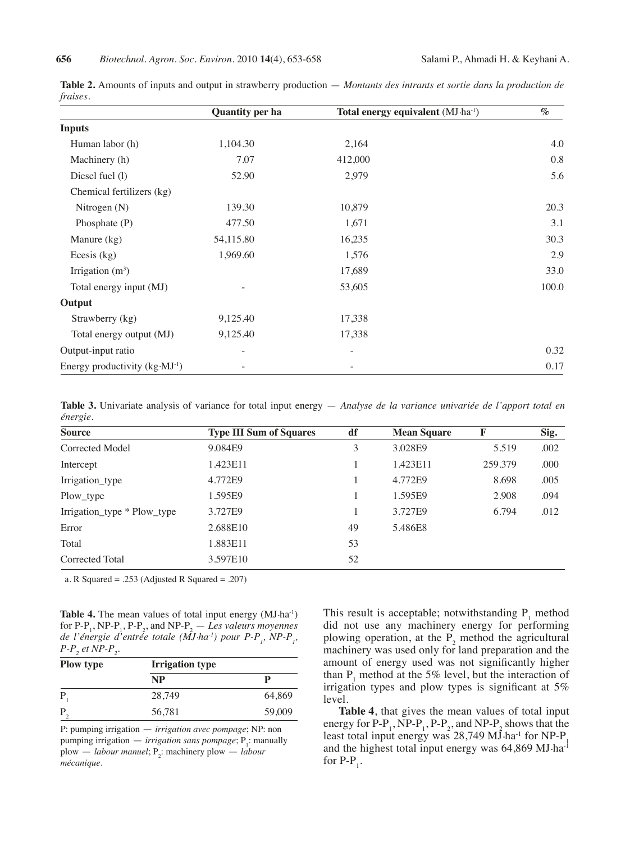|                                          | <b>Quantity per ha</b>       | Total energy equivalent (MJ·ha <sup>-1</sup> ) | $\%$  |
|------------------------------------------|------------------------------|------------------------------------------------|-------|
| <b>Inputs</b>                            |                              |                                                |       |
| Human labor (h)                          | 1,104.30                     | 2,164                                          | 4.0   |
| Machinery (h)                            | 7.07                         | 412,000                                        | 0.8   |
| Diesel fuel (l)                          | 52.90                        | 2,979                                          | 5.6   |
| Chemical fertilizers (kg)                |                              |                                                |       |
| Nitrogen $(N)$                           | 139.30                       | 10,879                                         | 20.3  |
| Phosphate (P)                            | 477.50                       | 1,671                                          | 3.1   |
| Manure $(kg)$                            | 54,115.80                    | 16,235                                         | 30.3  |
| Ecesis $(kg)$                            | 1,969.60                     | 1,576                                          | 2.9   |
| Irrigation $(m^3)$                       |                              | 17,689                                         | 33.0  |
| Total energy input (MJ)                  |                              | 53,605                                         | 100.0 |
| Output                                   |                              |                                                |       |
| Strawberry (kg)                          | 9,125.40                     | 17,338                                         |       |
| Total energy output (MJ)                 | 9,125.40                     | 17,338                                         |       |
| Output-input ratio                       | $\qquad \qquad \blacksquare$ | -                                              | 0.32  |
| Energy productivity $(kg \cdot MJ^{-1})$ |                              |                                                | 0.17  |

**Table 2.** Amounts of inputs and output in strawberry production — *Montants des intrants et sortie dans la production de fraises.*

**Table 3.** Univariate analysis of variance for total input energy — *Analyse de la variance univariée de l'apport total en énergie.*

| <b>Source</b>               | <b>Type III Sum of Squares</b> | df | <b>Mean Square</b> | F       | Sig. |  |
|-----------------------------|--------------------------------|----|--------------------|---------|------|--|
| Corrected Model             | 9.084E9                        | 3  | 3.028E9            | 5.519   | .002 |  |
| Intercept                   | 1.423E11                       |    | 1.423E11           | 259.379 | .000 |  |
| Irrigation_type             | 4.772E9                        |    | 4.772E9            | 8.698   | .005 |  |
| Plow_type                   | 1.595E9                        |    | 1.595E9            | 2.908   | .094 |  |
| Irrigation_type * Plow_type | 3.727E9                        |    | 3.727E9            | 6.794   | .012 |  |
| Error                       | 2.688E10                       | 49 | 5.486E8            |         |      |  |
| Total                       | 1.883E11                       | 53 |                    |         |      |  |
| Corrected Total             | 3.597E10                       | 52 |                    |         |      |  |

a. R Squared = .253 (Adjusted R Squared = .207)

**Table 4.** The mean values of total input energy (MJ·ha<sup>-1</sup>) for  $P-P_1$ ,  $NP-P_1$ ,  $P-P_2$ , and  $NP-P_2$  — *Les valeurs moyennes de l'énergie d'entrée totale (MJ·ha<sup>-1</sup>) pour P-P<sub>1</sub>, NP-P<sub>1</sub>,*  $P$ - $P_2$  et NP- $P_2$ .

| <b>Plow type</b> | <b>Irrigation type</b> |        |  |  |  |
|------------------|------------------------|--------|--|--|--|
|                  | <b>NP</b>              | р      |  |  |  |
| P                | 28,749                 | 64,869 |  |  |  |
| P                | 56,781                 | 59,009 |  |  |  |

P: pumping irrigation — *irrigation avec pompage*; NP: non pumping irrigation *— irrigation sans pompage*; P<sub>1</sub>: manually  $p$ low — *labour manuel*;  $P_2$ : machinery plow — *labour mécanique.*

This result is acceptable; notwithstanding  $P_1$  method did not use any machinery energy for performing plowing operation, at the  $P<sub>2</sub>$  method the agricultural machinery was used only for land preparation and the amount of energy used was not significantly higher than  $P_1$  method at the 5% level, but the interaction of irrigation types and plow types is significant at 5% level.

**Table 4**, that gives the mean values of total input energy for P-P<sub>1</sub>, NP-P<sub>1</sub>, P-P<sub>2</sub>, and NP-P<sub>2</sub> shows that the least total input energy was  $28,749$  MJ $\cdot$ ha<sup>-1</sup> for NP-P<sub>1</sub> and the highest total input energy was  $64,869 \text{ MJ} \cdot \text{ha}^{-1}$ for  $P-P_1$ .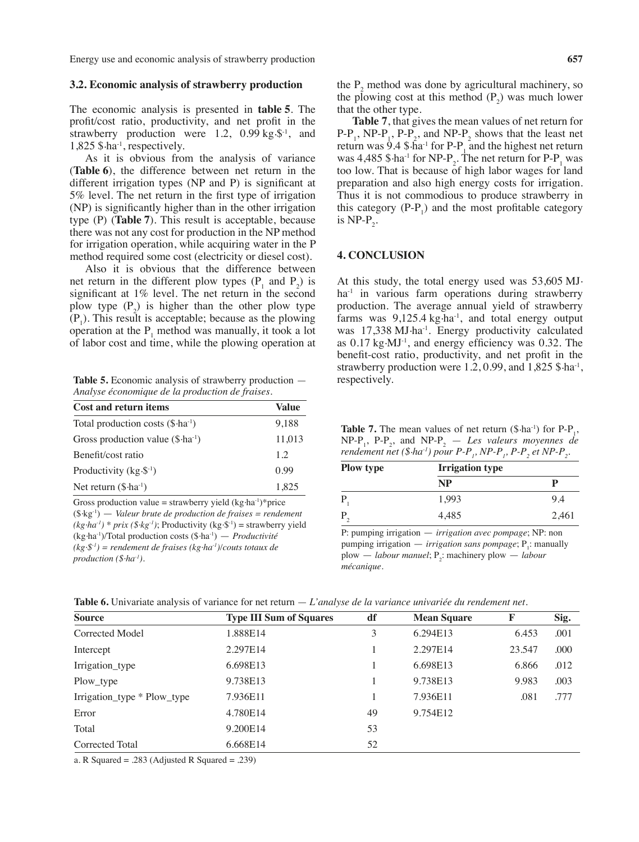Energy use and economic analysis of strawberry production **657** 

#### **3.2. Economic analysis of strawberry production**

The economic analysis is presented in **table 5**. The profit/cost ratio, productivity, and net profit in the strawberry production were 1.2, 0.99 kg $\mathcal{S}^{-1}$ , and 1,825 \$.ha-1, respectively.

As it is obvious from the analysis of variance (**Table 6**), the difference between net return in the different irrigation types (NP and P) is significant at 5% level. The net return in the first type of irrigation (NP) is significantly higher than in the other irrigation type (P) (**Table 7**). This result is acceptable, because there was not any cost for production in the NP method for irrigation operation, while acquiring water in the P method required some cost (electricity or diesel cost).

Also it is obvious that the difference between net return in the different plow types  $(P_1$  and  $P_2)$  is significant at 1% level. The net return in the second plow type  $(P_2)$  is higher than the other plow type  $(P_1)$ . This result is acceptable; because as the plowing operation at the  $P_1$  method was manually, it took a lot of labor cost and time, while the plowing operation at

**Table 5.** Economic analysis of strawberry production — *Analyse économique de la production de fraises*.

| <b>Cost and return items</b>                | Value  |
|---------------------------------------------|--------|
| Total production costs $(\$ \cdot ha^{-1})$ | 9,188  |
| Gross production value $(\$ \cdot ha^{-1})$ | 11,013 |
| Benefit/cost ratio                          | 12     |
| Productivity $(kg \cdot \S^{-1})$           | O 99   |
| Net return $(\$ \cdot ha^{-1})$             | 1,825  |

Gross production value = strawberry yield  $(kg \cdot ha^{-1})^*$ price (\$.kg-1) — *Valeur brute de production de fraises = rendement*   $(kg \cdot ha^{-1})$  \* *prix* (\$ $\cdot kg^{-1}$ ); Productivity (kg $\cdot$ \$<sup>-1</sup>) = strawberry yield (kg.ha-1)/Total production costs (\$.ha-1) — *Productivité (kg.\$-1) = rendement de fraises (kg.ha-1)/couts totaux de production (\$.ha-1).*

the  $P<sub>2</sub>$  method was done by agricultural machinery, so the plowing cost at this method  $(P_2)$  was much lower that the other type.

**Table 7**, that gives the mean values of net return for  $P-P_1$ , NP-P<sub>1</sub>, P-P<sub>2</sub>, and NP-P<sub>2</sub> shows that the least net return was  $9.4 \text{ }\$ \cdot \text{h}a^{-1}$  for P-P<sub>1</sub> and the highest net return was  $4,485$  \$ ha<sup>-1</sup> for NP-P<sub>2</sub>. The net return for P-P<sub>1</sub> was too low. That is because of high labor wages for land preparation and also high energy costs for irrigation. Thus it is not commodious to produce strawberry in this category  $(P-P_1)$  and the most profitable category is NP- $P_2$ .

#### **4. Conclusion**

At this study, the total energy used was 53,605 MJ. ha<sup>-1</sup> in various farm operations during strawberry production. The average annual yield of strawberry farms was  $9,125.4$  kg $\cdot$ ha<sup>-1</sup>, and total energy output was 17,338 MJ·ha<sup>-1</sup>. Energy productivity calculated as  $0.17 \text{ kg} \cdot \text{MJ}^{-1}$ , and energy efficiency was 0.32. The benefit-cost ratio, productivity, and net profit in the strawberry production were 1.2, 0.99, and 1,825  $\text{\$}$ -ha<sup>-1</sup>, respectively.

**Table 7.** The mean values of net return  $(\$ \cdot ha^{-1})$  for  $P-P_1$ ,  $NP-P_1$ ,  $P-P_2$ , and  $NP-P_2$  — *Les valeurs moyennes de rendement net (\$-ha-1) pour P-P<sub>1</sub>, NP-P<sub>1</sub>, P-P<sub>2</sub> et NP-P<sub>2</sub>.* 

| <b>Plow type</b> | <b>Irrigation type</b> |       |  |  |  |
|------------------|------------------------|-------|--|--|--|
|                  | <b>NP</b>              | р     |  |  |  |
| P                | 1,993                  | 9.4   |  |  |  |
| P                | 4,485                  | 2,461 |  |  |  |

P: pumping irrigation — *irrigation avec pompage*; NP: non pumping irrigation *— irrigation sans pompage*; P<sub>1</sub>: manually  $\n *plow* — *labour manuel*; P<sub>2</sub>: machinery *plow* — *labour*$ *mécanique.*

|  |  |  |  | <b>Table 6.</b> Univariate analysis of variance for net return $-L$ 'analyse de la variance univariée du rendement net. |  |  |  |  |  |  |  |  |
|--|--|--|--|-------------------------------------------------------------------------------------------------------------------------|--|--|--|--|--|--|--|--|
|--|--|--|--|-------------------------------------------------------------------------------------------------------------------------|--|--|--|--|--|--|--|--|

| <b>Source</b>               | <b>Type III Sum of Squares</b> | df | <b>Mean Square</b> | F      | Sig. |  |
|-----------------------------|--------------------------------|----|--------------------|--------|------|--|
| Corrected Model             | 1.888E14                       | 3  | 6.294E13           | 6.453  | .001 |  |
| Intercept                   | 2.297E14                       |    | 2.297E14           | 23.547 | .000 |  |
| Irrigation_type             | 6.698E13                       |    | 6.698E13           | 6.866  | .012 |  |
| Plow_type                   | 9.738E13                       |    | 9.738E13           | 9.983  | .003 |  |
| Irrigation_type * Plow_type | 7.936E11                       |    | 7.936E11           | .081   | .777 |  |
| Error                       | 4.780E14                       | 49 | 9.754E12           |        |      |  |
| Total                       | 9.200E14                       | 53 |                    |        |      |  |
| Corrected Total             | 6.668E14                       | 52 |                    |        |      |  |

a. R Squared = .283 (Adjusted R Squared = .239)